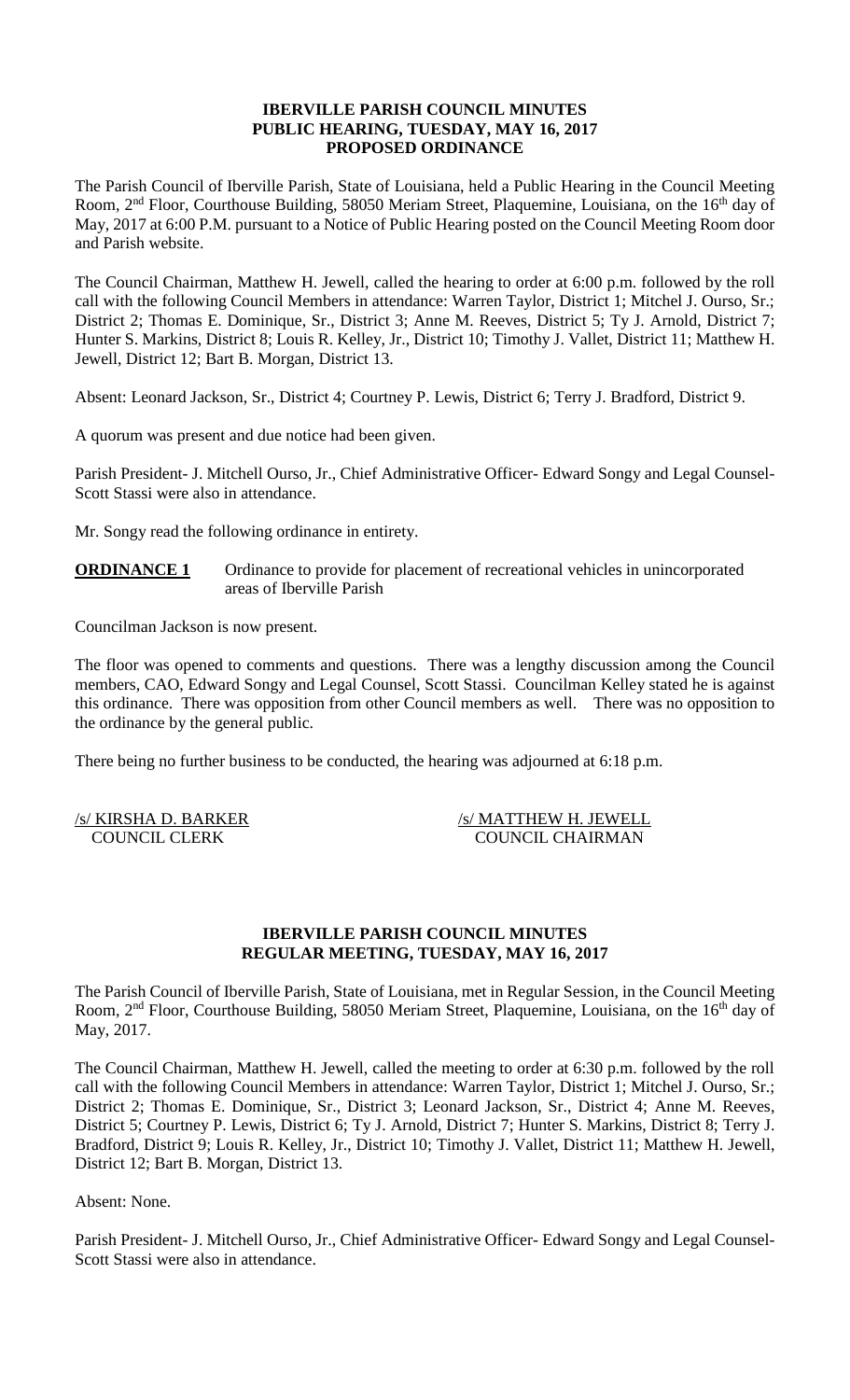## **IBERVILLE PARISH COUNCIL MINUTES PUBLIC HEARING, TUESDAY, MAY 16, 2017 PROPOSED ORDINANCE**

The Parish Council of Iberville Parish, State of Louisiana, held a Public Hearing in the Council Meeting Room, 2<sup>nd</sup> Floor, Courthouse Building, 58050 Meriam Street, Plaquemine, Louisiana, on the 16<sup>th</sup> day of May, 2017 at 6:00 P.M. pursuant to a Notice of Public Hearing posted on the Council Meeting Room door and Parish website.

The Council Chairman, Matthew H. Jewell, called the hearing to order at 6:00 p.m. followed by the roll call with the following Council Members in attendance: Warren Taylor, District 1; Mitchel J. Ourso, Sr.; District 2; Thomas E. Dominique, Sr., District 3; Anne M. Reeves, District 5; Ty J. Arnold, District 7; Hunter S. Markins, District 8; Louis R. Kelley, Jr., District 10; Timothy J. Vallet, District 11; Matthew H. Jewell, District 12; Bart B. Morgan, District 13.

Absent: Leonard Jackson, Sr., District 4; Courtney P. Lewis, District 6; Terry J. Bradford, District 9.

A quorum was present and due notice had been given.

Parish President- J. Mitchell Ourso, Jr., Chief Administrative Officer- Edward Songy and Legal Counsel-Scott Stassi were also in attendance.

Mr. Songy read the following ordinance in entirety.

**ORDINANCE 1** Ordinance to provide for placement of recreational vehicles in unincorporated areas of Iberville Parish

Councilman Jackson is now present.

The floor was opened to comments and questions. There was a lengthy discussion among the Council members, CAO, Edward Songy and Legal Counsel, Scott Stassi. Councilman Kelley stated he is against this ordinance. There was opposition from other Council members as well. There was no opposition to the ordinance by the general public.

There being no further business to be conducted, the hearing was adjourned at 6:18 p.m.

/s/ KIRSHA D. BARKER /s/ MATTHEW H. JEWELL COUNCIL CLERK COUNCIL CHAIRMAN

#### **IBERVILLE PARISH COUNCIL MINUTES REGULAR MEETING, TUESDAY, MAY 16, 2017**

The Parish Council of Iberville Parish, State of Louisiana, met in Regular Session, in the Council Meeting Room, 2<sup>nd</sup> Floor, Courthouse Building, 58050 Meriam Street, Plaquemine, Louisiana, on the 16<sup>th</sup> day of May, 2017.

The Council Chairman, Matthew H. Jewell, called the meeting to order at 6:30 p.m. followed by the roll call with the following Council Members in attendance: Warren Taylor, District 1; Mitchel J. Ourso, Sr.; District 2; Thomas E. Dominique, Sr., District 3; Leonard Jackson, Sr., District 4; Anne M. Reeves, District 5; Courtney P. Lewis, District 6; Ty J. Arnold, District 7; Hunter S. Markins, District 8; Terry J. Bradford, District 9; Louis R. Kelley, Jr., District 10; Timothy J. Vallet, District 11; Matthew H. Jewell, District 12; Bart B. Morgan, District 13.

Absent: None.

Parish President- J. Mitchell Ourso, Jr., Chief Administrative Officer- Edward Songy and Legal Counsel-Scott Stassi were also in attendance.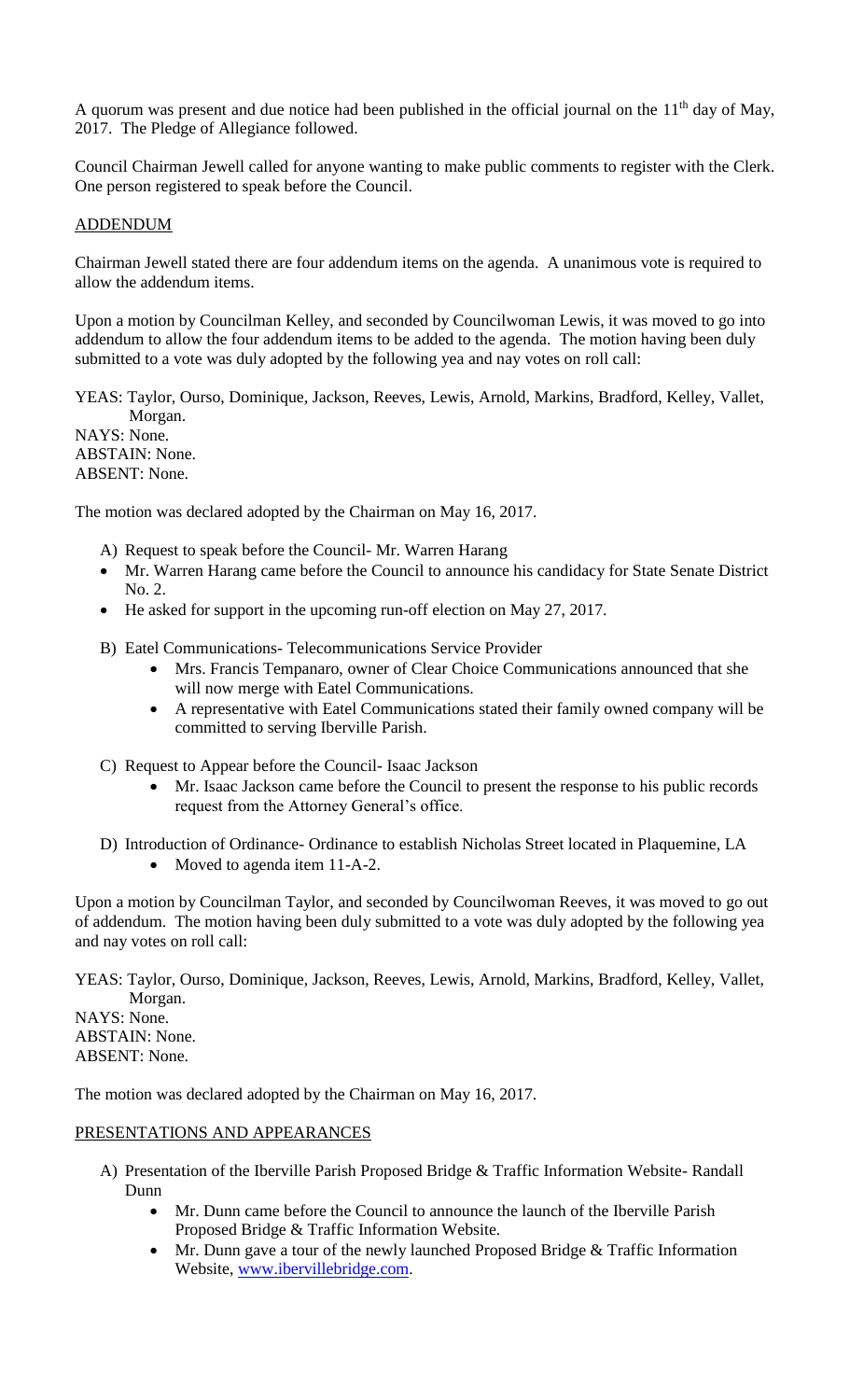A quorum was present and due notice had been published in the official journal on the  $11<sup>th</sup>$  day of May, 2017. The Pledge of Allegiance followed.

Council Chairman Jewell called for anyone wanting to make public comments to register with the Clerk. One person registered to speak before the Council.

## ADDENDUM

Chairman Jewell stated there are four addendum items on the agenda. A unanimous vote is required to allow the addendum items.

Upon a motion by Councilman Kelley, and seconded by Councilwoman Lewis, it was moved to go into addendum to allow the four addendum items to be added to the agenda. The motion having been duly submitted to a vote was duly adopted by the following yea and nay votes on roll call:

YEAS: Taylor, Ourso, Dominique, Jackson, Reeves, Lewis, Arnold, Markins, Bradford, Kelley, Vallet, Morgan. NAYS: None. ABSTAIN: None. ABSENT: None.

The motion was declared adopted by the Chairman on May 16, 2017.

- A) Request to speak before the Council- Mr. Warren Harang
- Mr. Warren Harang came before the Council to announce his candidacy for State Senate District No. 2.
- He asked for support in the upcoming run-off election on May 27, 2017.
- B) Eatel Communications- Telecommunications Service Provider
	- Mrs. Francis Tempanaro, owner of Clear Choice Communications announced that she will now merge with Eatel Communications.
	- A representative with Eatel Communications stated their family owned company will be committed to serving Iberville Parish.
- C) Request to Appear before the Council- Isaac Jackson
	- Mr. Isaac Jackson came before the Council to present the response to his public records request from the Attorney General's office.
- D) Introduction of Ordinance- Ordinance to establish Nicholas Street located in Plaquemine, LA • Moved to agenda item 11-A-2.

Upon a motion by Councilman Taylor, and seconded by Councilwoman Reeves, it was moved to go out of addendum. The motion having been duly submitted to a vote was duly adopted by the following yea and nay votes on roll call:

YEAS: Taylor, Ourso, Dominique, Jackson, Reeves, Lewis, Arnold, Markins, Bradford, Kelley, Vallet, Morgan. NAYS: None. ABSTAIN: None. ABSENT: None.

The motion was declared adopted by the Chairman on May 16, 2017.

## PRESENTATIONS AND APPEARANCES

- A) Presentation of the Iberville Parish Proposed Bridge & Traffic Information Website- Randall Dunn
	- Mr. Dunn came before the Council to announce the launch of the Iberville Parish Proposed Bridge & Traffic Information Website.
	- Mr. Dunn gave a tour of the newly launched Proposed Bridge  $&$  Traffic Information Website, [www.ibervillebridge.com.](http://www.ibervillebridge.com/)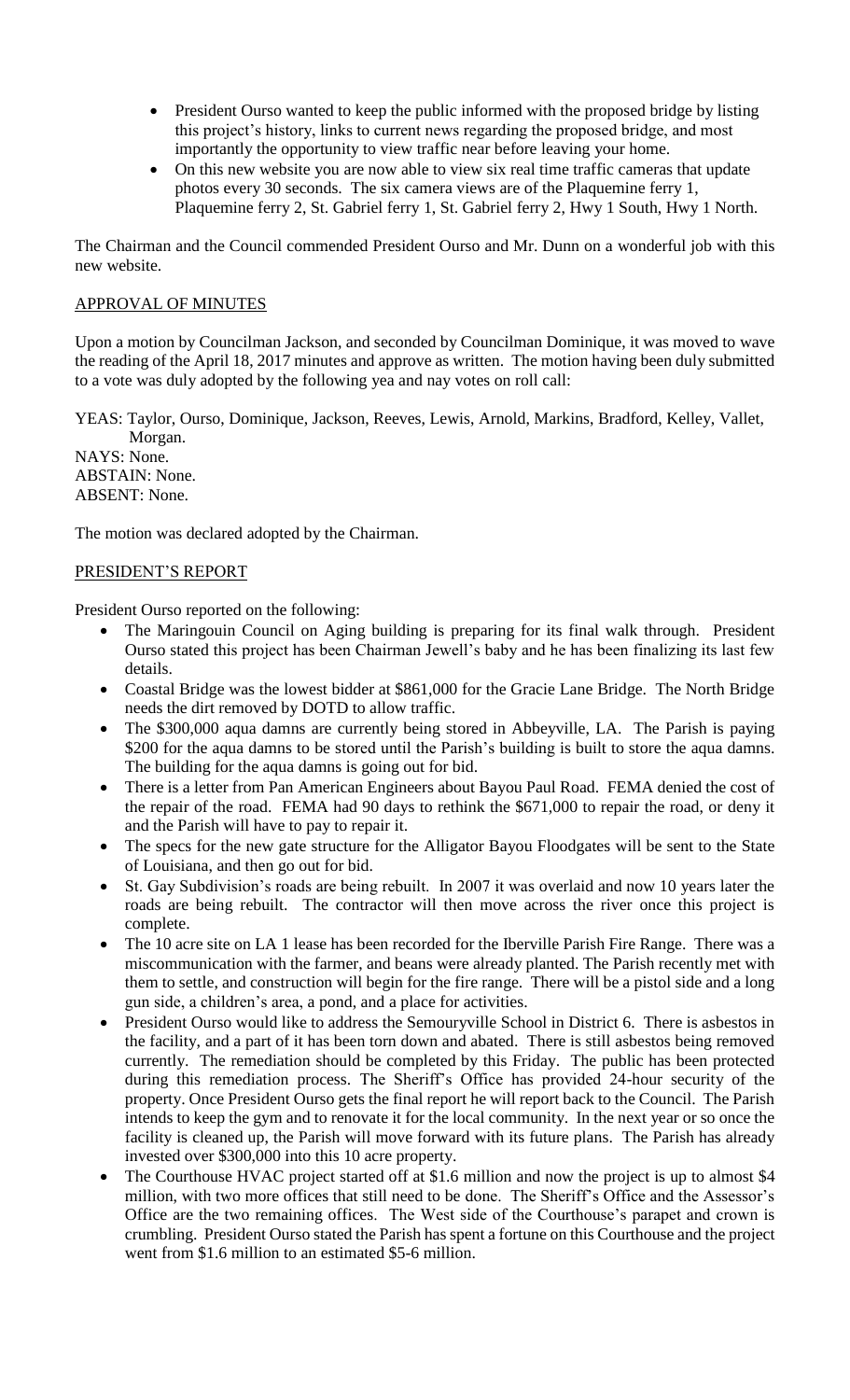- President Ourso wanted to keep the public informed with the proposed bridge by listing this project's history, links to current news regarding the proposed bridge, and most importantly the opportunity to view traffic near before leaving your home.
- On this new website you are now able to view six real time traffic cameras that update photos every 30 seconds. The six camera views are of the Plaquemine ferry 1, Plaquemine ferry 2, St. Gabriel ferry 1, St. Gabriel ferry 2, Hwy 1 South, Hwy 1 North.

The Chairman and the Council commended President Ourso and Mr. Dunn on a wonderful job with this new website.

# APPROVAL OF MINUTES

Upon a motion by Councilman Jackson, and seconded by Councilman Dominique, it was moved to wave the reading of the April 18, 2017 minutes and approve as written. The motion having been duly submitted to a vote was duly adopted by the following yea and nay votes on roll call:

YEAS: Taylor, Ourso, Dominique, Jackson, Reeves, Lewis, Arnold, Markins, Bradford, Kelley, Vallet, Morgan.

NAYS: None. ABSTAIN: None. ABSENT: None.

The motion was declared adopted by the Chairman.

# PRESIDENT'S REPORT

President Ourso reported on the following:

- The Maringouin Council on Aging building is preparing for its final walk through. President Ourso stated this project has been Chairman Jewell's baby and he has been finalizing its last few details.
- Coastal Bridge was the lowest bidder at \$861,000 for the Gracie Lane Bridge. The North Bridge needs the dirt removed by DOTD to allow traffic.
- The \$300,000 aqua damns are currently being stored in Abbeyville, LA. The Parish is paying \$200 for the aqua damns to be stored until the Parish's building is built to store the aqua damns. The building for the aqua damns is going out for bid.
- There is a letter from Pan American Engineers about Bayou Paul Road. FEMA denied the cost of the repair of the road. FEMA had 90 days to rethink the \$671,000 to repair the road, or deny it and the Parish will have to pay to repair it.
- The specs for the new gate structure for the Alligator Bayou Floodgates will be sent to the State of Louisiana, and then go out for bid.
- St. Gay Subdivision's roads are being rebuilt. In 2007 it was overlaid and now 10 years later the roads are being rebuilt. The contractor will then move across the river once this project is complete.
- The 10 acre site on LA 1 lease has been recorded for the Iberville Parish Fire Range. There was a miscommunication with the farmer, and beans were already planted. The Parish recently met with them to settle, and construction will begin for the fire range. There will be a pistol side and a long gun side, a children's area, a pond, and a place for activities.
- President Ourso would like to address the Semouryville School in District 6. There is asbestos in the facility, and a part of it has been torn down and abated. There is still asbestos being removed currently. The remediation should be completed by this Friday. The public has been protected during this remediation process. The Sheriff's Office has provided 24-hour security of the property. Once President Ourso gets the final report he will report back to the Council. The Parish intends to keep the gym and to renovate it for the local community. In the next year or so once the facility is cleaned up, the Parish will move forward with its future plans. The Parish has already invested over \$300,000 into this 10 acre property.
- The Courthouse HVAC project started off at \$1.6 million and now the project is up to almost \$4 million, with two more offices that still need to be done. The Sheriff's Office and the Assessor's Office are the two remaining offices. The West side of the Courthouse's parapet and crown is crumbling. President Ourso stated the Parish has spent a fortune on this Courthouse and the project went from \$1.6 million to an estimated \$5-6 million.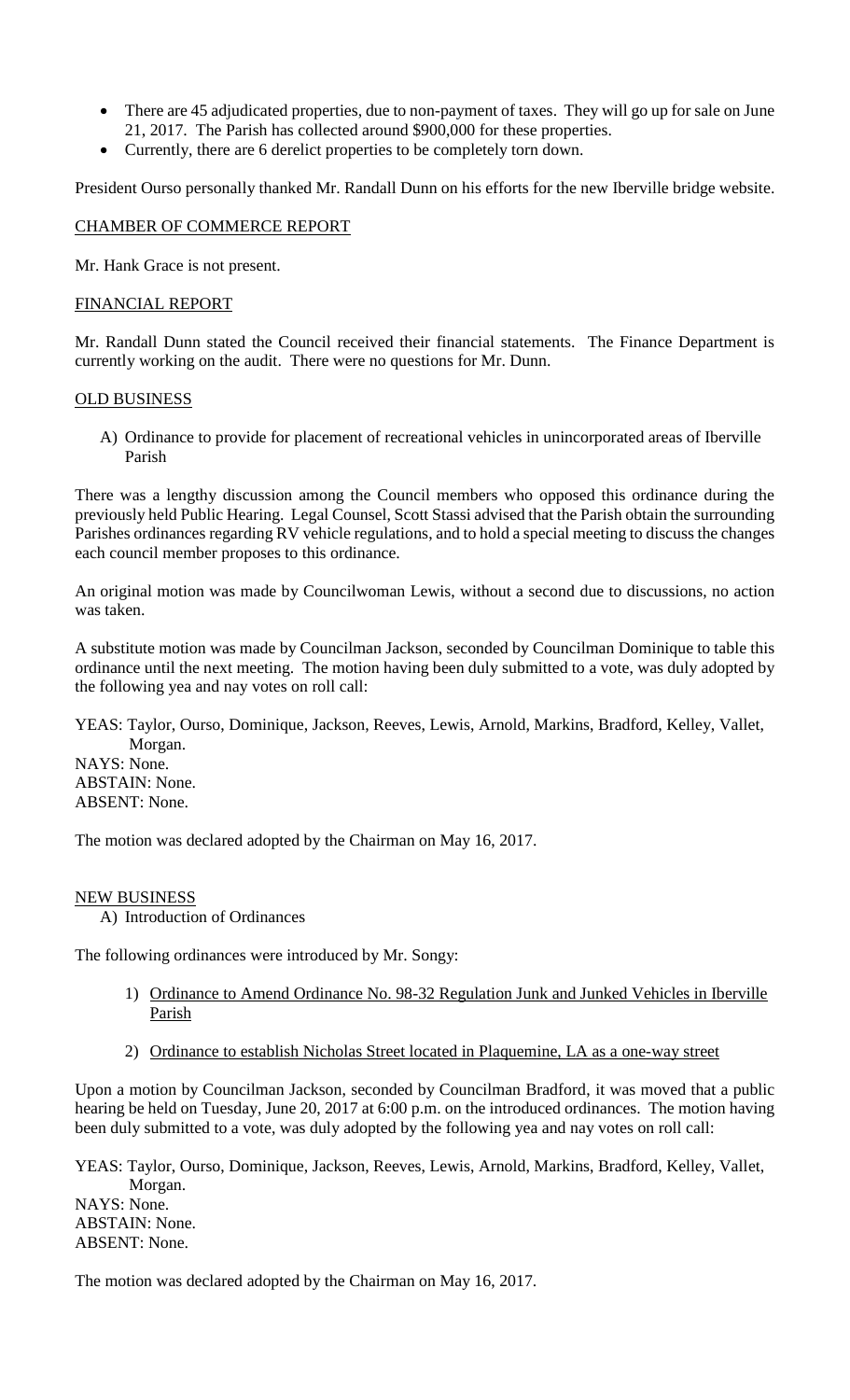- There are 45 adjudicated properties, due to non-payment of taxes. They will go up for sale on June 21, 2017. The Parish has collected around \$900,000 for these properties.
- Currently, there are 6 derelict properties to be completely torn down.

President Ourso personally thanked Mr. Randall Dunn on his efforts for the new Iberville bridge website.

## CHAMBER OF COMMERCE REPORT

Mr. Hank Grace is not present.

## FINANCIAL REPORT

Mr. Randall Dunn stated the Council received their financial statements. The Finance Department is currently working on the audit. There were no questions for Mr. Dunn.

#### OLD BUSINESS

A) Ordinance to provide for placement of recreational vehicles in unincorporated areas of Iberville Parish

There was a lengthy discussion among the Council members who opposed this ordinance during the previously held Public Hearing. Legal Counsel, Scott Stassi advised that the Parish obtain the surrounding Parishes ordinances regarding RV vehicle regulations, and to hold a special meeting to discuss the changes each council member proposes to this ordinance.

An original motion was made by Councilwoman Lewis, without a second due to discussions, no action was taken.

A substitute motion was made by Councilman Jackson, seconded by Councilman Dominique to table this ordinance until the next meeting. The motion having been duly submitted to a vote, was duly adopted by the following yea and nay votes on roll call:

YEAS: Taylor, Ourso, Dominique, Jackson, Reeves, Lewis, Arnold, Markins, Bradford, Kelley, Vallet, Morgan. NAYS: None. ABSTAIN: None. ABSENT: None.

The motion was declared adopted by the Chairman on May 16, 2017.

#### NEW BUSINESS

A) Introduction of Ordinances

The following ordinances were introduced by Mr. Songy:

- 1) Ordinance to Amend Ordinance No. 98-32 Regulation Junk and Junked Vehicles in Iberville Parish
- 2) Ordinance to establish Nicholas Street located in Plaquemine, LA as a one-way street

Upon a motion by Councilman Jackson, seconded by Councilman Bradford, it was moved that a public hearing be held on Tuesday, June 20, 2017 at 6:00 p.m. on the introduced ordinances. The motion having been duly submitted to a vote, was duly adopted by the following yea and nay votes on roll call:

YEAS: Taylor, Ourso, Dominique, Jackson, Reeves, Lewis, Arnold, Markins, Bradford, Kelley, Vallet, Morgan. NAYS: None. ABSTAIN: None. ABSENT: None.

The motion was declared adopted by the Chairman on May 16, 2017.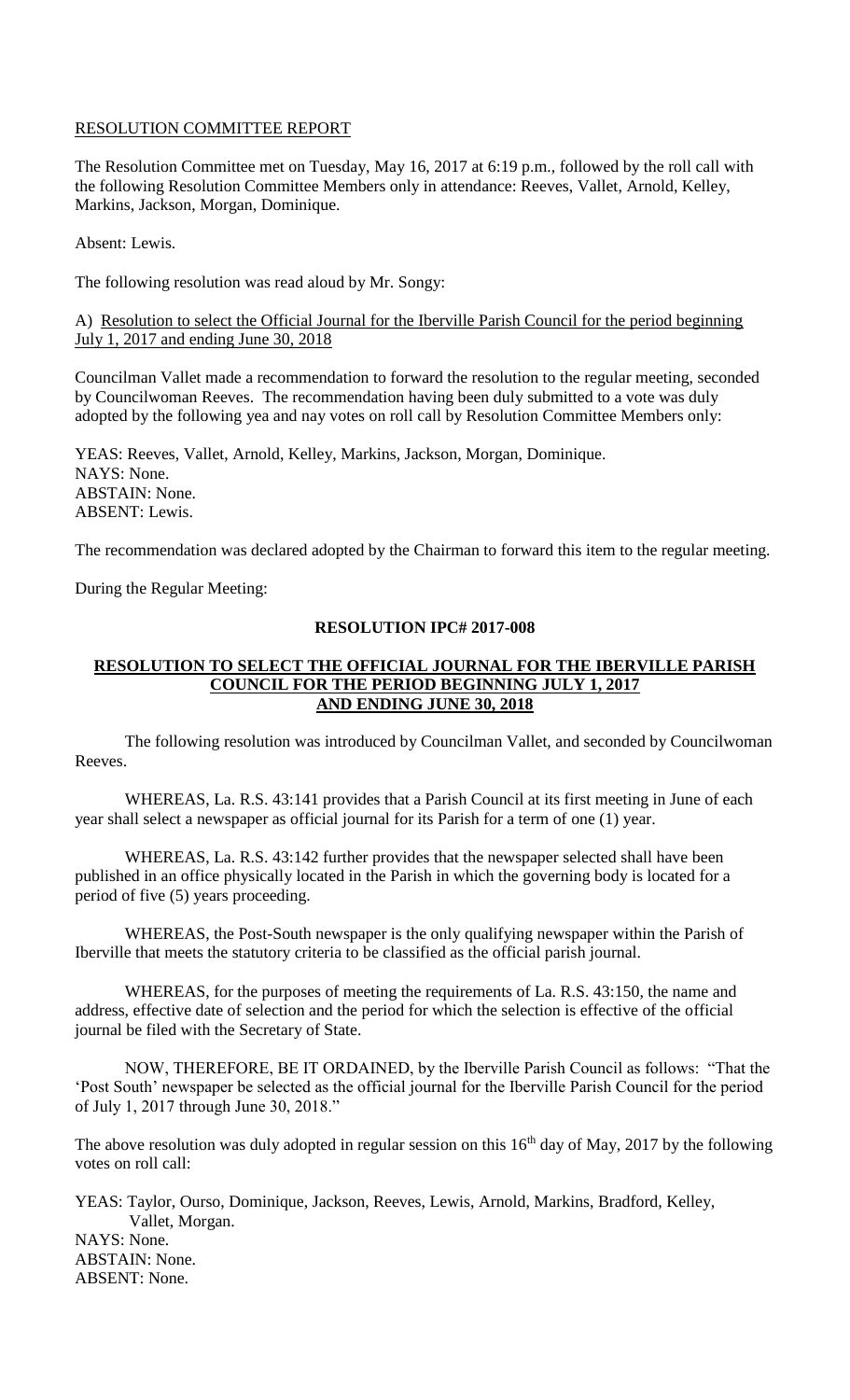## RESOLUTION COMMITTEE REPORT

The Resolution Committee met on Tuesday, May 16, 2017 at 6:19 p.m., followed by the roll call with the following Resolution Committee Members only in attendance: Reeves, Vallet, Arnold, Kelley, Markins, Jackson, Morgan, Dominique.

Absent: Lewis.

The following resolution was read aloud by Mr. Songy:

A) Resolution to select the Official Journal for the Iberville Parish Council for the period beginning July 1, 2017 and ending June 30, 2018

Councilman Vallet made a recommendation to forward the resolution to the regular meeting, seconded by Councilwoman Reeves. The recommendation having been duly submitted to a vote was duly adopted by the following yea and nay votes on roll call by Resolution Committee Members only:

YEAS: Reeves, Vallet, Arnold, Kelley, Markins, Jackson, Morgan, Dominique. NAYS: None. ABSTAIN: None. ABSENT: Lewis.

The recommendation was declared adopted by the Chairman to forward this item to the regular meeting.

During the Regular Meeting:

#### **RESOLUTION IPC# 2017-008**

#### **RESOLUTION TO SELECT THE OFFICIAL JOURNAL FOR THE IBERVILLE PARISH COUNCIL FOR THE PERIOD BEGINNING JULY 1, 2017 AND ENDING JUNE 30, 2018**

The following resolution was introduced by Councilman Vallet, and seconded by Councilwoman Reeves.

WHEREAS, La. R.S. 43:141 provides that a Parish Council at its first meeting in June of each year shall select a newspaper as official journal for its Parish for a term of one (1) year.

WHEREAS, La. R.S. 43:142 further provides that the newspaper selected shall have been published in an office physically located in the Parish in which the governing body is located for a period of five (5) years proceeding.

WHEREAS, the Post-South newspaper is the only qualifying newspaper within the Parish of Iberville that meets the statutory criteria to be classified as the official parish journal.

WHEREAS, for the purposes of meeting the requirements of La. R.S. 43:150, the name and address, effective date of selection and the period for which the selection is effective of the official journal be filed with the Secretary of State.

NOW, THEREFORE, BE IT ORDAINED, by the Iberville Parish Council as follows: "That the 'Post South' newspaper be selected as the official journal for the Iberville Parish Council for the period of July 1, 2017 through June 30, 2018."

The above resolution was duly adopted in regular session on this  $16<sup>th</sup>$  day of May, 2017 by the following votes on roll call:

YEAS: Taylor, Ourso, Dominique, Jackson, Reeves, Lewis, Arnold, Markins, Bradford, Kelley, Vallet, Morgan. NAYS: None. ABSTAIN: None. ABSENT: None.